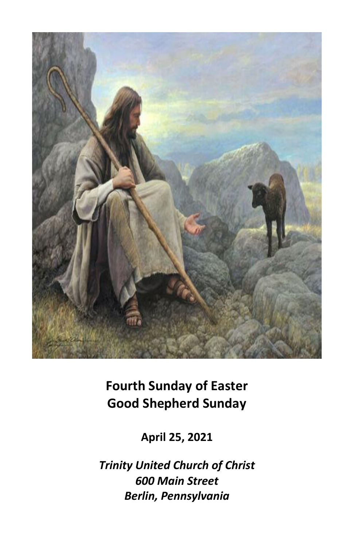

**Fourth Sunday of Easter Good Shepherd Sunday**

**April 25, 2021**

*Trinity United Church of Christ 600 Main Street Berlin, Pennsylvania*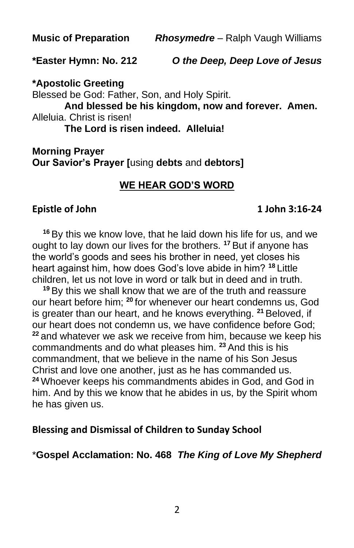**\*Easter Hymn: No. 212** *O the Deep, Deep Love of Jesus*

**\*Apostolic Greeting**

Blessed be God: Father, Son, and Holy Spirit. **And blessed be his kingdom, now and forever. Amen.** Alleluia. Christ is risen! **The Lord is risen indeed. Alleluia!**

**Morning Prayer Our Savior's Prayer [**using **debts** and **debtors]**

# **WE HEAR GOD'S WORD**

### **Epistle of John 1 John 3:16-24**

**<sup>16</sup>** By this we know love, that he laid down his life for us, and we ought to lay down our lives for the brothers. **<sup>17</sup>** But if anyone has the world's goods and sees his brother in need, yet closes his heart against him, how does God's love abide in him? **<sup>18</sup>** Little children, let us not love in word or talk but in deed and in truth.

**<sup>19</sup>** By this we shall know that we are of the truth and reassure our heart before him; **<sup>20</sup>** for whenever our heart condemns us, God is greater than our heart, and he knows everything. **<sup>21</sup>** Beloved, if our heart does not condemn us, we have confidence before God; **<sup>22</sup>** and whatever we ask we receive from him, because we keep his commandments and do what pleases him. **<sup>23</sup>** And this is his commandment, that we believe in the name of his Son Jesus Christ and love one another, just as he has commanded us. **<sup>24</sup>** Whoever keeps his commandments abides in God, and God in him. And by this we know that he abides in us, by the Spirit whom he has given us.

### **Blessing and Dismissal of Children to Sunday School**

\***Gospel Acclamation: No. 468** *The King of Love My Shepherd*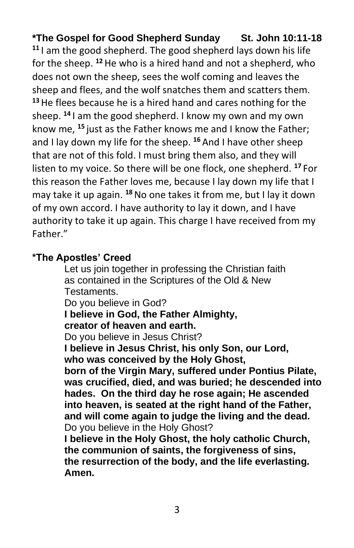**\*The Gospel for Good Shepherd Sunday St. John 10:11-18 <sup>11</sup>** I am the good shepherd. The good shepherd lays down his life for the sheep. **<sup>12</sup>**He who is a hired hand and not a shepherd, who does not own the sheep, sees the wolf coming and leaves the sheep and flees, and the wolf snatches them and scatters them. **<sup>13</sup>**He flees because he is a hired hand and cares nothing for the sheep. **<sup>14</sup>** I am the good shepherd. I know my own and my own know me, **<sup>15</sup>** just as the Father knows me and I know the Father; and I lay down my life for the sheep. **<sup>16</sup>** And I have other sheep that are not of this fold. I must bring them also, and they will listen to my voice. So there will be one flock, one shepherd. **<sup>17</sup>** For this reason the Father loves me, because I lay down my life that I may take it up again. **<sup>18</sup>**No one takes it from me, but I lay it down of my own accord. I have authority to lay it down, and I have authority to take it up again. This charge I have received from my Father."

# **\*The Apostles' Creed**

Let us join together in professing the Christian faith as contained in the Scriptures of the Old & New Testaments.

Do you believe in God?

**I believe in God, the Father Almighty,**

# **creator of heaven and earth.**

Do you believe in Jesus Christ?

**I believe in Jesus Christ, his only Son, our Lord, who was conceived by the Holy Ghost,**

**born of the Virgin Mary, suffered under Pontius Pilate, was crucified, died, and was buried; he descended into hades. On the third day he rose again; He ascended into heaven, is seated at the right hand of the Father, and will come again to judge the living and the dead.** Do you believe in the Holy Ghost?

**I believe in the Holy Ghost, the holy catholic Church, the communion of saints, the forgiveness of sins, the resurrection of the body, and the life everlasting. Amen.**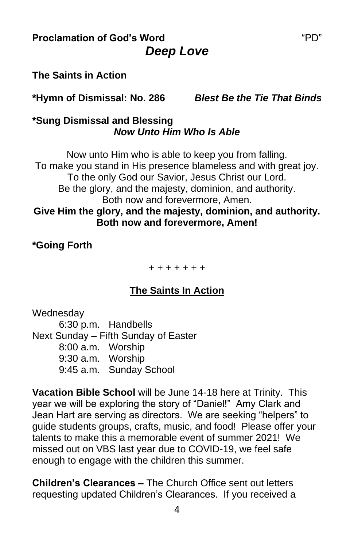**Proclamation of God's Word** The Contract of Text of PD" *Deep Love*

### **The Saints in Action**

**\*Hymn of Dismissal: No. 286** *Blest Be the Tie That Binds*

#### **\*Sung Dismissal and Blessing** *Now Unto Him Who Is Able*

Now unto Him who is able to keep you from falling. To make you stand in His presence blameless and with great joy. To the only God our Savior, Jesus Christ our Lord. Be the glory, and the majesty, dominion, and authority. Both now and forevermore, Amen. **Give Him the glory, and the majesty, dominion, and authority. Both now and forevermore, Amen!**

#### **\*Going Forth**

+ + + + + + +

### **The Saints In Action**

**Wednesdav** 6:30 p.m. Handbells Next Sunday – Fifth Sunday of Easter 8:00 a.m. Worship 9:30 a.m. Worship 9:45 a.m. Sunday School

**Vacation Bible School** will be June 14-18 here at Trinity. This year we will be exploring the story of "Daniel!" Amy Clark and Jean Hart are serving as directors. We are seeking "helpers" to guide students groups, crafts, music, and food! Please offer your talents to make this a memorable event of summer 2021! We missed out on VBS last year due to COVID-19, we feel safe enough to engage with the children this summer.

**Children's Clearances –** The Church Office sent out letters requesting updated Children's Clearances. If you received a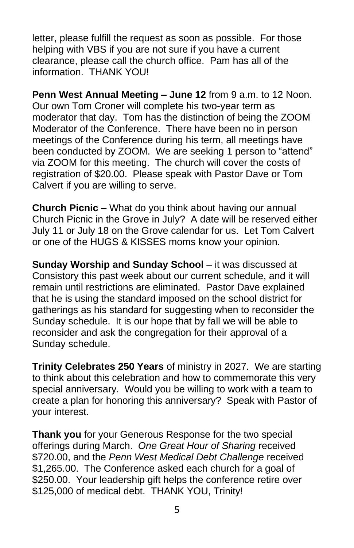letter, please fulfill the request as soon as possible. For those helping with VBS if you are not sure if you have a current clearance, please call the church office. Pam has all of the information. THANK YOU!

**Penn West Annual Meeting – June 12** from 9 a.m. to 12 Noon. Our own Tom Croner will complete his two-year term as moderator that day. Tom has the distinction of being the ZOOM Moderator of the Conference. There have been no in person meetings of the Conference during his term, all meetings have been conducted by ZOOM. We are seeking 1 person to "attend" via ZOOM for this meeting. The church will cover the costs of registration of \$20.00. Please speak with Pastor Dave or Tom Calvert if you are willing to serve.

**Church Picnic –** What do you think about having our annual Church Picnic in the Grove in July? A date will be reserved either July 11 or July 18 on the Grove calendar for us. Let Tom Calvert or one of the HUGS & KISSES moms know your opinion.

**Sunday Worship and Sunday School** – it was discussed at Consistory this past week about our current schedule, and it will remain until restrictions are eliminated. Pastor Dave explained that he is using the standard imposed on the school district for gatherings as his standard for suggesting when to reconsider the Sunday schedule. It is our hope that by fall we will be able to reconsider and ask the congregation for their approval of a Sunday schedule.

**Trinity Celebrates 250 Years** of ministry in 2027. We are starting to think about this celebration and how to commemorate this very special anniversary. Would you be willing to work with a team to create a plan for honoring this anniversary? Speak with Pastor of your interest.

**Thank you** for your Generous Response for the two special offerings during March. *One Great Hour of Sharing* received \$720.00, and the *Penn West Medical Debt Challenge* received \$1,265.00. The Conference asked each church for a goal of \$250.00. Your leadership gift helps the conference retire over \$125,000 of medical debt. THANK YOU, Trinity!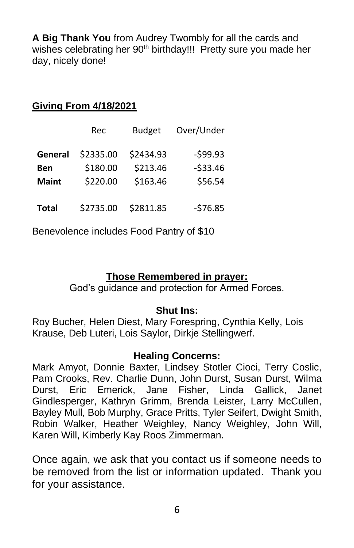**A Big Thank You** from Audrey Twombly for all the cards and wishes celebrating her 90<sup>th</sup> birthday!!! Pretty sure you made her day, nicely done!

# **Giving From 4/18/2021**

|              | Rec       | <b>Budget</b> | Over/Under |
|--------------|-----------|---------------|------------|
| General      | \$2335.00 | \$2434.93     | $-599.93$  |
| Ben          | \$180.00  | \$213.46      | $-533.46$  |
| <b>Maint</b> | \$220.00  | \$163.46      | \$56.54    |
| <b>Total</b> | \$2735.00 | \$2811.85     | $-576.85$  |

Benevolence includes Food Pantry of \$10

# **Those Remembered in prayer:**

God's guidance and protection for Armed Forces.

### **Shut Ins:**

Roy Bucher, Helen Diest, Mary Forespring, Cynthia Kelly, Lois Krause, Deb Luteri, Lois Saylor, Dirkje Stellingwerf.

### **Healing Concerns:**

Mark Amyot, Donnie Baxter, Lindsey Stotler Cioci, Terry Coslic, Pam Crooks, Rev. Charlie Dunn, John Durst, Susan Durst, Wilma Durst, Eric Emerick, Jane Fisher, Linda Gallick, Janet Gindlesperger, Kathryn Grimm, Brenda Leister, Larry McCullen, Bayley Mull, Bob Murphy, Grace Pritts, Tyler Seifert, Dwight Smith, Robin Walker, Heather Weighley, Nancy Weighley, John Will, Karen Will, Kimberly Kay Roos Zimmerman.

Once again, we ask that you contact us if someone needs to be removed from the list or information updated. Thank you for your assistance.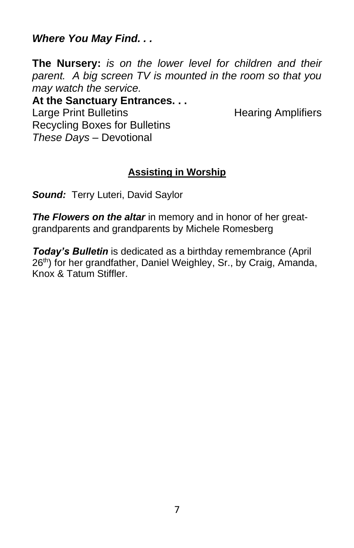*Where You May Find. . .*

**The Nursery:** *is on the lower level for children and their parent. A big screen TV is mounted in the room so that you may watch the service.*

**At the Sanctuary Entrances. . .** Large Print Bulletins **Example 20** Hearing Amplifiers Recycling Boxes for Bulletins *These Days –* Devotional

# **Assisting in Worship**

*Sound:* Terry Luteri, David Saylor

*The Flowers on the altar* in memory and in honor of her greatgrandparents and grandparents by Michele Romesberg

*Today's Bulletin* is dedicated as a birthday remembrance (April 26<sup>th</sup>) for her grandfather, Daniel Weighley, Sr., by Craig, Amanda, Knox & Tatum Stiffler.